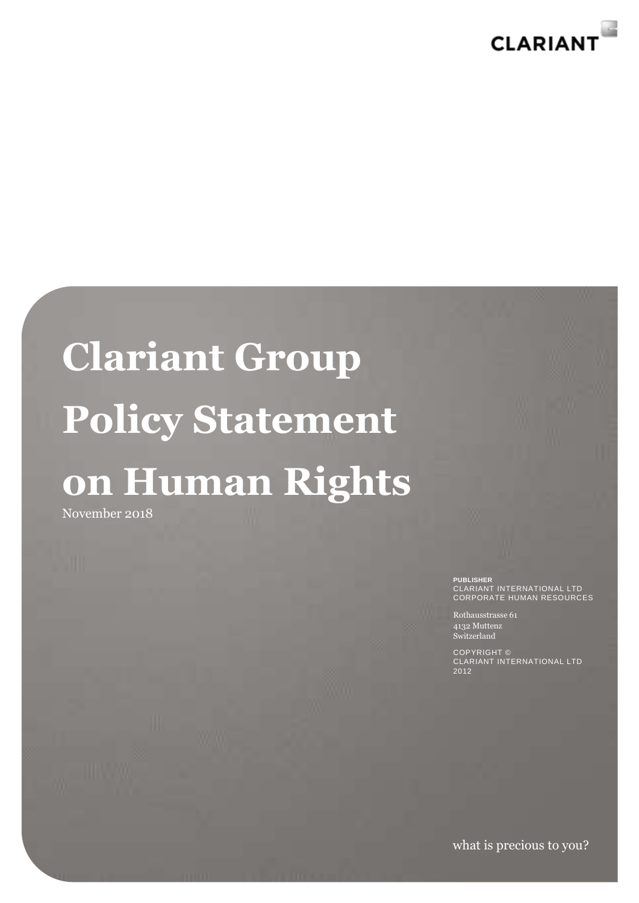

## **Clariant Group Policy Statement on Human Rights**

November 2018

**PUBLISHER**

CLARIANT INTERNATIONAL LTD CORPORATE HUMAN RESOURCES

Rothausstrasse 61 4132 Muttenz Switzerland

COPYRIGHT © CLARIANT INTERNATIONAL LTD 2012